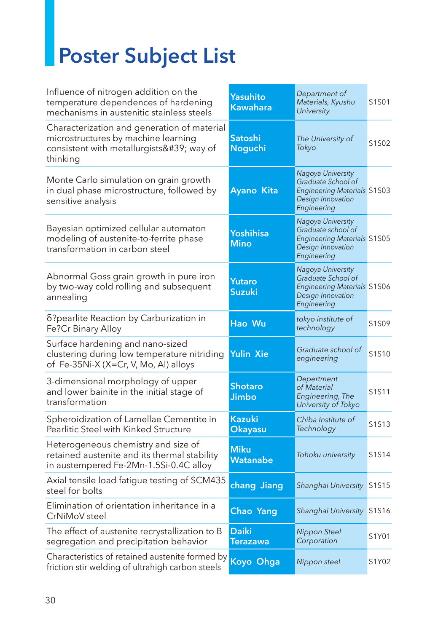## **Poster Subject List**

| Influence of nitrogen addition on the<br>temperature dependences of hardening<br>mechanisms in austenitic stainless steels              | <b>Yasuhito</b><br>Kawahara     | Department of<br>Materials, Kyushu<br>University                                                                  | S1S01 |
|-----------------------------------------------------------------------------------------------------------------------------------------|---------------------------------|-------------------------------------------------------------------------------------------------------------------|-------|
| Characterization and generation of material<br>microstructures by machine learning<br>consistent with metallurgists' way of<br>thinking | Satoshi<br>Noguchi              | The University of<br>Tokyo                                                                                        | S1S02 |
| Monte Carlo simulation on grain growth<br>in dual phase microstructure, followed by<br>sensitive analysis                               | Ayano Kita                      | Nagoya University<br>Graduate School of<br><b>Engineering Materials S1S03</b><br>Design Innovation<br>Engineering |       |
| Bayesian optimized cellular automaton<br>modeling of austenite-to-ferrite phase<br>transformation in carbon steel                       | Yoshihisa<br>Mino               | Nagoya University<br>Graduate school of<br><b>Engineering Materials S1S05</b><br>Design Innovation<br>Engineering |       |
| Abnormal Goss grain growth in pure iron<br>by two-way cold rolling and subsequent<br>annealing                                          | Yutaro<br>Suzuki                | Nagoya University<br>Graduate School of<br><b>Engineering Materials S1S06</b><br>Design Innovation<br>Engineering |       |
| δ?pearlite Reaction by Carburization in<br>Fe?Cr Binary Alloy                                                                           | Hao Wu                          | tokyo institute of<br>technology                                                                                  | S1S09 |
| Surface hardening and nano-sized<br>clustering during low temperature nitriding<br>of Fe-35Ni-X (X=Cr, V, Mo, Al) alloys                | <b>Yulin Xie</b>                | Graduate school of<br>engineering                                                                                 | S1S10 |
| 3-dimensional morphology of upper<br>and lower bainite in the initial stage of<br>transformation                                        | Shotaro<br>Jimbo                | Depertment<br>of Material<br>Engineering, The<br>University of Tokyo                                              | S1S11 |
| Spheroidization of Lamellae Cementite in<br>Pearlitic Steel with Kinked Structure                                                       | <b>Kazuki</b><br><b>Okayasu</b> | Chiba Institute of<br>Technology                                                                                  | S1S13 |
| Heterogeneous chemistry and size of<br>retained austenite and its thermal stability<br>in austempered Fe-2Mn-1.5Si-0.4C alloy           | <b>Miku</b><br>Watanabe         | Tohoku university                                                                                                 | S1S14 |
| Axial tensile load fatigue testing of SCM435<br>steel for bolts                                                                         | chang Jiang                     | Shanghai University S1S15                                                                                         |       |
| Elimination of orientation inheritance in a<br>CrNiMoV steel                                                                            | Chao Yang                       | Shanghai University S1S16                                                                                         |       |
| The effect of austenite recrystallization to B<br>segregation and precipitation behavior                                                | <b>Daiki</b><br><b>Terazawa</b> | Nippon Steel<br>Corporation                                                                                       | S1Y01 |
| Characteristics of retained austenite formed by<br>friction stir welding of ultrahigh carbon steels                                     | Koyo Ohga                       | Nippon steel                                                                                                      | S1Y02 |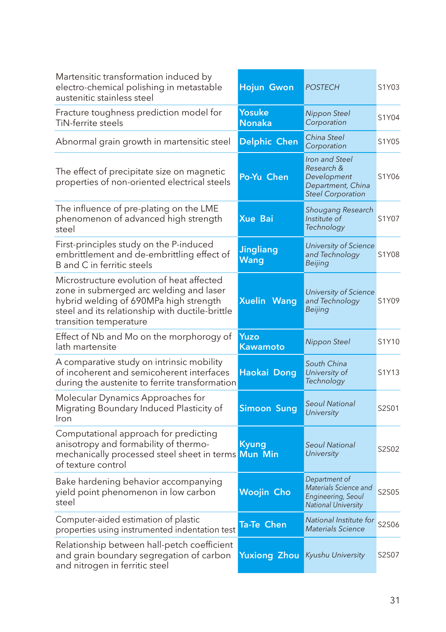| Martensitic transformation induced by<br>electro-chemical polishing in metastable<br>austenitic stainless steel                                                                                             | Hojun Gwon                      | <b>POSTECH</b>                                                                               | S1Y03 |
|-------------------------------------------------------------------------------------------------------------------------------------------------------------------------------------------------------------|---------------------------------|----------------------------------------------------------------------------------------------|-------|
| Fracture toughness prediction model for<br>TiN-ferrite steels                                                                                                                                               | Yosuke<br>Nonaka                | Nippon Steel<br>Corporation                                                                  | S1Y04 |
| Abnormal grain growth in martensitic steel                                                                                                                                                                  | Delphic Chen                    | China Steel<br>Corporation                                                                   | S1Y05 |
| The effect of precipitate size on magnetic<br>properties of non-oriented electrical steels                                                                                                                  | Po-Yu Chen                      | Iron and Steel<br>Research &<br>Development<br>Department, China<br><b>Steel Corporation</b> | S1Y06 |
| The influence of pre-plating on the LME<br>phenomenon of advanced high strength<br>steel                                                                                                                    | <b>Xue Bai</b>                  | Shougang Research<br>Institute of<br>Technology                                              | S1Y07 |
| First-principles study on the P-induced<br>embrittlement and de-embrittling effect of<br>B and C in ferritic steels                                                                                         | <b>Jingliang</b><br><b>Wang</b> | University of Science<br>and Technology<br>Beijing                                           | S1Y08 |
| Microstructure evolution of heat affected<br>zone in submerged arc welding and laser<br>hybrid welding of 690MPa high strength<br>steel and its relationship with ductile-brittle<br>transition temperature | <b>Xuelin Wang</b>              | University of Science<br>and Technology<br>Beijing                                           | S1Y09 |
| Effect of Nb and Mo on the morphorogy of<br>lath martensite                                                                                                                                                 | Yuzo<br>Kawamoto                | Nippon Steel                                                                                 | S1Y10 |
| A comparative study on intrinsic mobility<br>of incoherent and semicoherent interfaces<br>during the austenite to ferrite transformation                                                                    | Haokai Dong                     | South China<br>University of<br>Technology                                                   | S1Y13 |
| Molecular Dynamics Approaches for<br>Migrating Boundary Induced Plasticity of<br>Iron                                                                                                                       | <b>Simoon Sung</b>              | <b>Seoul National</b><br>University                                                          | S2S01 |
| Computational approach for predicting<br>anisotropy and formability of thermo-<br>mechanically processed steel sheet in terms<br>of texture control                                                         | <b>Kyung</b><br>Mun Min         | <b>Seoul National</b><br>University                                                          | S2S02 |
| Bake hardening behavior accompanying<br>yield point phenomenon in low carbon<br>steel                                                                                                                       | Woojin Cho                      | Department of<br>Materials Science and<br>Engineering, Seoul<br><b>National University</b>   | S2S05 |
| Computer-aided estimation of plastic<br>properties using instrumented indentation test                                                                                                                      | Ta-Te Chen                      | National Institute for<br><b>Materials Science</b>                                           | S2S06 |
| Relationship between hall-petch coefficient<br>and grain boundary segregation of carbon<br>and nitrogen in ferritic steel                                                                                   | Yuxiong Zhou                    | Kyushu University                                                                            | S2S07 |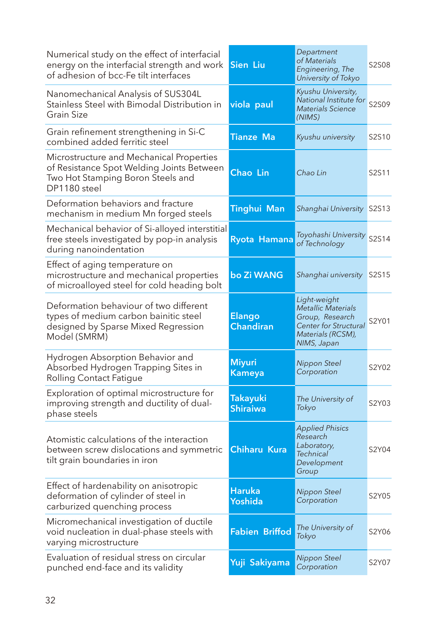| Numerical study on the effect of interfacial<br>energy on the interfacial strength and work<br>of adhesion of bcc-Fe tilt interfaces       | <b>Sien Liu</b>            | Department<br>of Materials<br>Engineering, The<br>University of Tokyo                                              | S2S08 |
|--------------------------------------------------------------------------------------------------------------------------------------------|----------------------------|--------------------------------------------------------------------------------------------------------------------|-------|
| Nanomechanical Analysis of SUS304L<br>Stainless Steel with Bimodal Distribution in<br>Grain Size                                           | viola paul                 | Kyushu University,<br>National Institute for<br>Materials Science<br>(NIMS)                                        | S2S09 |
| Grain refinement strengthening in Si-C<br>combined added ferritic steel                                                                    | <b>Tianze Ma</b>           | Kyushu university                                                                                                  | S2S10 |
| Microstructure and Mechanical Properties<br>of Resistance Spot Welding Joints Between<br>Two Hot Stamping Boron Steels and<br>DP1180 steel | Chao Lin                   | Chao Lin                                                                                                           | S2S11 |
| Deformation behaviors and fracture<br>mechanism in medium Mn forged steels                                                                 | Tinghui Man                | Shanghai University S2S13                                                                                          |       |
| Mechanical behavior of Si-alloyed interstitial<br>free steels investigated by pop-in analysis<br>during nanoindentation                    | Ryota Hamana               | Toyohashi University<br>of Technology                                                                              | S2S14 |
| Effect of aging temperature on<br>microstructure and mechanical properties<br>of microalloyed steel for cold heading bolt                  | bo Zi WANG                 | Shanghai university                                                                                                | S2S15 |
| Deformation behaviour of two different<br>types of medium carbon bainitic steel<br>designed by Sparse Mixed Regression<br>Model (SMRM)     | Elango<br><b>Chandiran</b> | Light-weight<br>Metallic Materials<br>Group, Research<br>Center for Structural<br>Materials (RCSM),<br>NIMS, Japan | S2Y01 |
| Hydrogen Absorption Behavior and<br>Absorbed Hydrogen Trapping Sites in<br><b>Rolling Contact Fatigue</b>                                  | <b>Miyuri</b><br>Kameya    | Nippon Steel<br>Corporation                                                                                        | S2Y02 |
| Exploration of optimal microstructure for<br>improving strength and ductility of dual-<br>phase steels                                     | Takayuki<br>Shiraiwa       | The University of<br>Tokyo                                                                                         | S2Y03 |
| Atomistic calculations of the interaction<br>between screw dislocations and symmetric<br>tilt grain boundaries in iron                     | Chiharu Kura               | <b>Applied Phisics</b><br>Research<br>Laboratory,<br>Technical<br>Development<br>Group                             | S2Y04 |
| Effect of hardenability on anisotropic<br>deformation of cylinder of steel in<br>carburized quenching process                              | <b>Haruka</b><br>Yoshida   | Nippon Steel<br>Corporation                                                                                        | S2Y05 |
| Micromechanical investigation of ductile<br>void nucleation in dual-phase steels with<br>varying microstructure                            | <b>Fabien Briffod</b>      | The University of<br>Tokyo                                                                                         | S2Y06 |
| Evaluation of residual stress on circular<br>punched end-face and its validity                                                             | Yuji Sakiyama              | Nippon Steel<br>Corporation                                                                                        | S2Y07 |